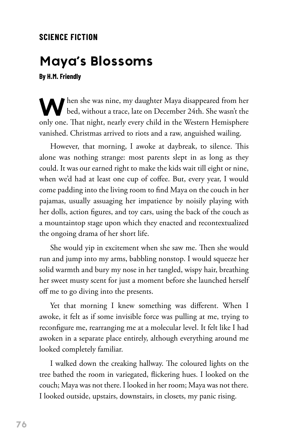## **SCIENCE FICTION**

## **Maya's Blossoms**

**By H.M. Friendly**

When she was nine, my daughter Maya disappeared from her bed, without a trace, late on December 24th. She wasn't the only one. That night, nearly every child in the Western Hemisphere vanished. Christmas arrived to riots and a raw, anguished wailing.

However, that morning, I awoke at daybreak, to silence. This alone was nothing strange: most parents slept in as long as they could. It was our earned right to make the kids wait till eight or nine, when we'd had at least one cup of coffee. But, every year, I would come padding into the living room to find Maya on the couch in her pajamas, usually assuaging her impatience by noisily playing with her dolls, action figures, and toy cars, using the back of the couch as a mountaintop stage upon which they enacted and recontextualized the ongoing drama of her short life.

She would yip in excitement when she saw me. Then she would run and jump into my arms, babbling nonstop. I would squeeze her solid warmth and bury my nose in her tangled, wispy hair, breathing her sweet musty scent for just a moment before she launched herself off me to go diving into the presents.

Yet that morning I knew something was different. When I awoke, it felt as if some invisible force was pulling at me, trying to reconfigure me, rearranging me at a molecular level. It felt like I had awoken in a separate place entirely, although everything around me looked completely familiar.

I walked down the creaking hallway. The coloured lights on the tree bathed the room in variegated, flickering hues. I looked on the couch; Maya was not there. I looked in her room; Maya was not there. I looked outside, upstairs, downstairs, in closets, my panic rising.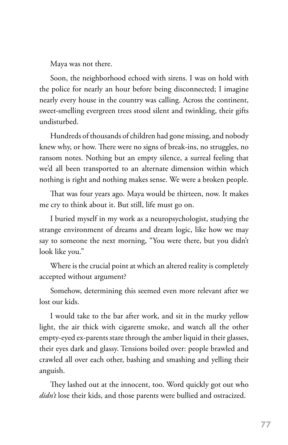Maya was not there.

Soon, the neighborhood echoed with sirens. I was on hold with the police for nearly an hour before being disconnected; I imagine nearly every house in the country was calling. Across the continent, sweet-smelling evergreen trees stood silent and twinkling, their gifts undisturbed.

Hundreds of thousands of children had gone missing, and nobody knew why, or how. There were no signs of break-ins, no struggles, no ransom notes. Nothing but an empty silence, a surreal feeling that we'd all been transported to an alternate dimension within which nothing is right and nothing makes sense. We were a broken people.

That was four years ago. Maya would be thirteen, now. It makes me cry to think about it. But still, life must go on.

I buried myself in my work as a neuropsychologist, studying the strange environment of dreams and dream logic, like how we may say to someone the next morning, "You were there, but you didn't look like you."

Where is the crucial point at which an altered reality is completely accepted without argument?

Somehow, determining this seemed even more relevant after we lost our kids.

I would take to the bar after work, and sit in the murky yellow light, the air thick with cigarette smoke, and watch all the other empty-eyed ex-parents stare through the amber liquid in their glasses, their eyes dark and glassy. Tensions boiled over: people brawled and crawled all over each other, bashing and smashing and yelling their anguish.

They lashed out at the innocent, too. Word quickly got out who *didn't* lose their kids, and those parents were bullied and ostracized.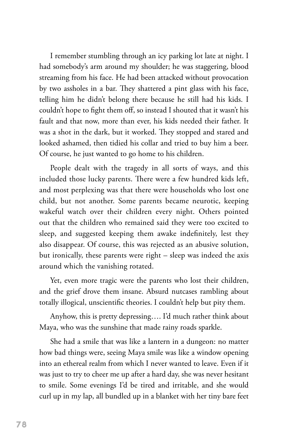I remember stumbling through an icy parking lot late at night. I had somebody's arm around my shoulder; he was staggering, blood streaming from his face. He had been attacked without provocation by two assholes in a bar. They shattered a pint glass with his face, telling him he didn't belong there because he still had his kids. I couldn't hope to fight them off, so instead I shouted that it wasn't his fault and that now, more than ever, his kids needed their father. It was a shot in the dark, but it worked. They stopped and stared and looked ashamed, then tidied his collar and tried to buy him a beer. Of course, he just wanted to go home to his children.

People dealt with the tragedy in all sorts of ways, and this included those lucky parents. There were a few hundred kids left, and most perplexing was that there were households who lost one child, but not another. Some parents became neurotic, keeping wakeful watch over their children every night. Others pointed out that the children who remained said they were too excited to sleep, and suggested keeping them awake indefinitely, lest they also disappear. Of course, this was rejected as an abusive solution, but ironically, these parents were right – sleep was indeed the axis around which the vanishing rotated.

Yet, even more tragic were the parents who lost their children, and the grief drove them insane. Absurd nutcases rambling about totally illogical, unscientific theories. I couldn't help but pity them.

Anyhow, this is pretty depressing…. I'd much rather think about Maya, who was the sunshine that made rainy roads sparkle.

She had a smile that was like a lantern in a dungeon: no matter how bad things were, seeing Maya smile was like a window opening into an ethereal realm from which I never wanted to leave. Even if it was just to try to cheer me up after a hard day, she was never hesitant to smile. Some evenings I'd be tired and irritable, and she would curl up in my lap, all bundled up in a blanket with her tiny bare feet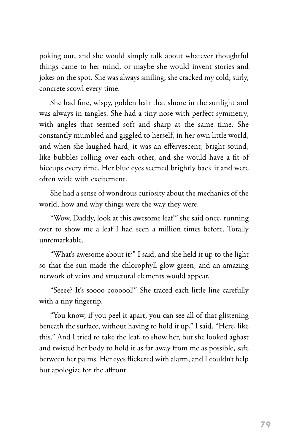poking out, and she would simply talk about whatever thoughtful things came to her mind, or maybe she would invent stories and jokes on the spot. She was always smiling; she cracked my cold, surly, concrete scowl every time.

She had fine, wispy, golden hair that shone in the sunlight and was always in tangles. She had a tiny nose with perfect symmetry, with angles that seemed soft and sharp at the same time. She constantly mumbled and giggled to herself, in her own little world, and when she laughed hard, it was an effervescent, bright sound, like bubbles rolling over each other, and she would have a fit of hiccups every time. Her blue eyes seemed brightly backlit and were often wide with excitement.

She had a sense of wondrous curiosity about the mechanics of the world, how and why things were the way they were.

"Wow, Daddy, look at this awesome leaf!" she said once, running over to show me a leaf I had seen a million times before. Totally unremarkable.

"What's awesome about it?" I said, and she held it up to the light so that the sun made the chlorophyll glow green, and an amazing network of veins and structural elements would appear.

"Seeee? It's soooo coooool!" She traced each little line carefully with a tiny fingertip.

"You know, if you peel it apart, you can see all of that glistening beneath the surface, without having to hold it up," I said. "Here, like this." And I tried to take the leaf, to show her, but she looked aghast and twisted her body to hold it as far away from me as possible, safe between her palms. Her eyes flickered with alarm, and I couldn't help but apologize for the affront.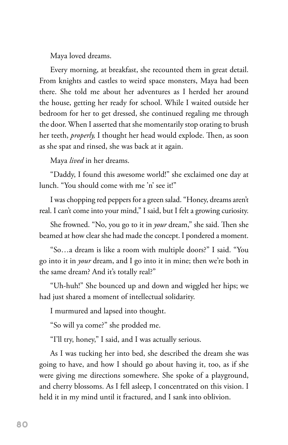Maya loved dreams.

Every morning, at breakfast, she recounted them in great detail. From knights and castles to weird space monsters, Maya had been there. She told me about her adventures as I herded her around the house, getting her ready for school. While I waited outside her bedroom for her to get dressed, she continued regaling me through the door. When I asserted that she momentarily stop orating to brush her teeth, *properly,* I thought her head would explode. Then, as soon as she spat and rinsed, she was back at it again.

Maya *lived* in her dreams.

"Daddy, I found this awesome world!" she exclaimed one day at lunch. "You should come with me 'n' see it!"

I was chopping red peppers for a green salad. "Honey, dreams aren't real. I can't come into your mind," I said, but I felt a growing curiosity.

She frowned. "No, you go to it in *your* dream," she said. Then she beamed at how clear she had made the concept. I pondered a moment.

"So…a dream is like a room with multiple doors?" I said. "You go into it in *your* dream, and I go into it in mine; then we're both in the same dream? And it's totally real?"

"Uh-huh!" She bounced up and down and wiggled her hips; we had just shared a moment of intellectual solidarity.

I murmured and lapsed into thought.

"So will ya come?" she prodded me.

"I'll try, honey," I said, and I was actually serious.

As I was tucking her into bed, she described the dream she was going to have, and how I should go about having it, too, as if she were giving me directions somewhere. She spoke of a playground, and cherry blossoms. As I fell asleep, I concentrated on this vision. I held it in my mind until it fractured, and I sank into oblivion.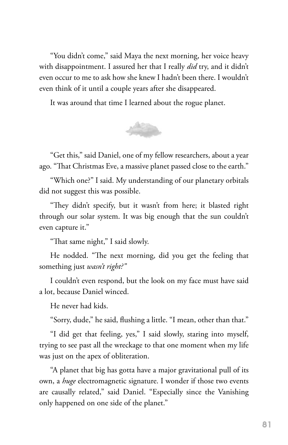"You didn't come," said Maya the next morning, her voice heavy with disappointment. I assured her that I really *did* try, and it didn't even occur to me to ask how she knew I hadn't been there. I wouldn't even think of it until a couple years after she disappeared.

It was around that time I learned about the rogue planet.



"Get this," said Daniel, one of my fellow researchers, about a year ago. "That Christmas Eve, a massive planet passed close to the earth."

"Which one?" I said. My understanding of our planetary orbitals did not suggest this was possible.

"They didn't specify, but it wasn't from here; it blasted right through our solar system. It was big enough that the sun couldn't even capture it."

"That same night," I said slowly.

He nodded. "The next morning, did you get the feeling that something just *wasn't right?"*

I couldn't even respond, but the look on my face must have said a lot, because Daniel winced.

He never had kids.

"Sorry, dude," he said, flushing a little. "I mean, other than that."

"I did get that feeling, yes," I said slowly, staring into myself, trying to see past all the wreckage to that one moment when my life was just on the apex of obliteration.

"A planet that big has gotta have a major gravitational pull of its own, a *huge* electromagnetic signature. I wonder if those two events are causally related," said Daniel. "Especially since the Vanishing only happened on one side of the planet."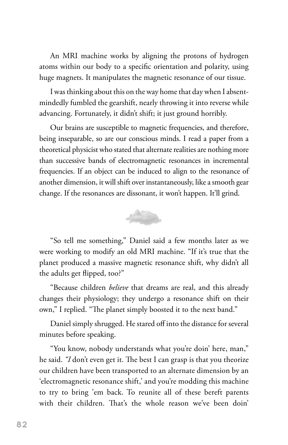An MRI machine works by aligning the protons of hydrogen atoms within our body to a specific orientation and polarity, using huge magnets. It manipulates the magnetic resonance of our tissue.

I was thinking about this on the way home that day when I absentmindedly fumbled the gearshift, nearly throwing it into reverse while advancing. Fortunately, it didn't shift; it just ground horribly.

Our brains are susceptible to magnetic frequencies, and therefore, being inseparable, so are our conscious minds. I read a paper from a theoretical physicist who stated that alternate realities are nothing more than successive bands of electromagnetic resonances in incremental frequencies. If an object can be induced to align to the resonance of another dimension, it will shift over instantaneously, like a smooth gear change. If the resonances are dissonant, it won't happen. It'll grind.



"So tell me something," Daniel said a few months later as we were working to modify an old MRI machine. "If it's true that the planet produced a massive magnetic resonance shift, why didn't all the adults get flipped, too?"

"Because children *believe* that dreams are real, and this already changes their physiology; they undergo a resonance shift on their own," I replied. "The planet simply boosted it to the next band."

Daniel simply shrugged. He stared off into the distance for several minutes before speaking.

"You know, nobody understands what you're doin' here, man," he said. *"I* don't even get it. The best I can grasp is that you theorize our children have been transported to an alternate dimension by an 'electromagnetic resonance shift,' and you're modding this machine to try to bring 'em back. To reunite all of these bereft parents with their children. That's the whole reason we've been doin'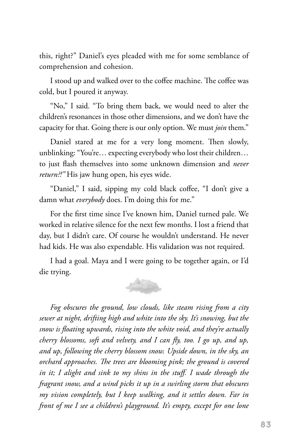this, right?" Daniel's eyes pleaded with me for some semblance of comprehension and cohesion.

I stood up and walked over to the coffee machine. The coffee was cold, but I poured it anyway.

"No," I said. "To bring them back, we would need to alter the children's resonances in those other dimensions, and we don't have the capacity for that. Going there is our only option. We must *join* them."

Daniel stared at me for a very long moment. Then slowly, unblinking: "You're… expecting everybody who lost their children… to just flash themselves into some unknown dimension and *never return?!"* His jaw hung open, his eyes wide.

"Daniel," I said, sipping my cold black coffee, "I don't give a damn what *everybody* does. I'm doing this for me."

For the first time since I've known him, Daniel turned pale. We worked in relative silence for the next few months. I lost a friend that day, but I didn't care. Of course he wouldn't understand. He never had kids. He was also expendable. His validation was not required.

I had a goal. Maya and I were going to be together again, or I'd die trying.

*Fog obscures the ground, low clouds, like steam rising from a city sewer at night, drifting high and white into the sky. It's snowing, but the snow is floating upwards, rising into the white void, and they're actually cherry blossoms, soft and velvety, and I can fly, too. I go up, and up, and up, following the cherry blossom snow. Upside down, in the sky, an orchard approaches. The trees are blooming pink; the ground is covered*  in it; I alight and sink to my shins in the stuff. I wade through the *fragrant snow, and a wind picks it up in a swirling storm that obscures my vision completely, but I keep walking, and it settles down. Far in front of me I see a children's playground. It's empty, except for one lone*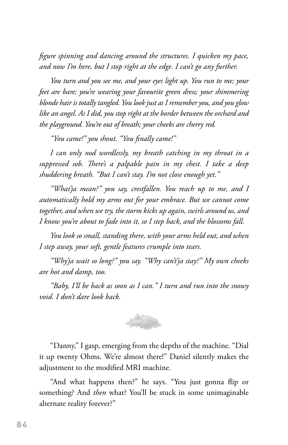*figure spinning and dancing around the structures. I quicken my pace, and now I'm here, but I stop right at the edge. I can't go any further.*

*You turn and you see me, and your eyes light up. You run to me; your feet are bare; you're wearing your favourite green dress; your shimmering blonde hair is totally tangled. You look just as I remember you, and you glow like an angel. As I did, you stop right at the border between the orchard and the playground. You're out of breath; your cheeks are cherry red.*

*"You came!" you shout. "You finally came!"*

*I can only nod wordlessly, my breath catching in my throat in a suppressed sob. There's a palpable pain in my chest. I take a deep shuddering breath. "But I can't stay. I'm not close enough yet."*

*"What'ja mean?" you say, crestfallen. You reach up to me, and I automatically hold my arms out for your embrace. But we cannot come together, and when we try, the storm kicks up again, swirls around us, and I know you're about to fade into it, so I step back, and the blossoms fall.*

*You look so small, standing there, with your arms held out, and when I step away, your soft, gentle features crumple into tears.*

*"Why'ja wait so long?" you say. "Why can't'ja stay?" My own cheeks are hot and damp, too.*

*"Baby, I'll be back as soon as I can." I turn and run into the snowy void. I don't dare look back.*



"Danny," I gasp, emerging from the depths of the machine. "Dial it up twenty Ohms. We're almost there!" Daniel silently makes the adjustment to the modified MRI machine.

"And what happens then?" he says. "You just gonna flip or something? And *then* what? You'll be stuck in some unimaginable alternate reality forever?"